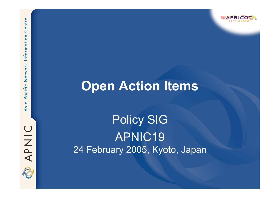# Pacific Network Information Asia

Centre

APNIC

## **Open Action Items**

Policy SIG APNIC19 24 February 2005, Kyoto, Japan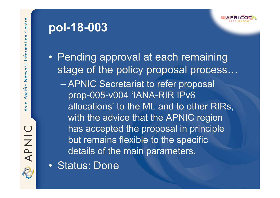APNIC

### **pol-18-003**



• Pending approval at each remaining stage of the policy proposal process... – APNIC Secretariat to refer proposal prop-005-v004 'IANA-RIR IPv6 allocations' to the ML and to other RIRs, with the advice that the APNIC region has accepted the proposal in principle but remains flexible to the specific details of the main parameters.

• Status: Done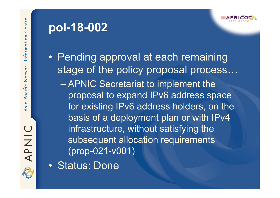APNIC

### **pol-18-002**



• Pending approval at each remaining stage of the policy proposal process… – APNIC Secretariat to implement the proposal to expand IPv6 address space for existing IPv6 address holders, on the basis of a deployment plan or with IPv4 infrastructure, without satisfying the subsequent allocation requirements (prop-021-v001)

• Status: Done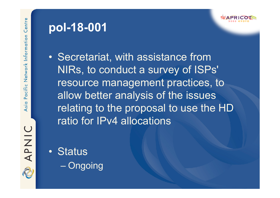**UIZA** 

### **pol-18-001**



• Secretariat, with assistance from NIRs, to conduct a survey of ISPs' resource management practices, to allow better analysis of the issues relating to the proposal to use the HD ratio for IPv4 allocations

• Status – Ongoing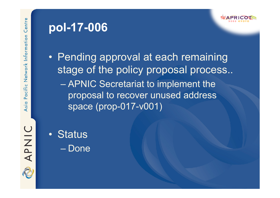#### **pol-17-006**



• Pending approval at each remaining stage of the policy proposal process.. – APNIC Secretariat to implement the proposal to recover unused address space (prop-017-v001)

APNIC

• Status – Done